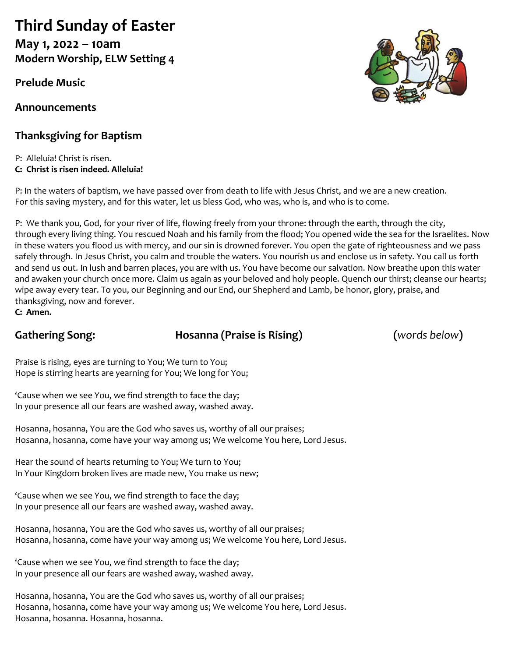# **Third Sunday of Easter**

**May 1, 2022 – 10am Modern Worship, ELW Setting 4**

**Prelude Music**

**Announcements**

## **Thanksgiving for Baptism**

P: Alleluia! Christ is risen. **C: Christ is risen indeed. Alleluia!**



P: In the waters of baptism, we have passed over from death to life with Jesus Christ, and we are a new creation. For this saving mystery, and for this water, let us bless God, who was, who is, and who is to come.

P: We thank you, God, for your river of life, flowing freely from your throne: through the earth, through the city, through every living thing. You rescued Noah and his family from the flood; You opened wide the sea for the Israelites. Now in these waters you flood us with mercy, and our sin is drowned forever. You open the gate of righteousness and we pass safely through. In Jesus Christ, you calm and trouble the waters. You nourish us and enclose us in safety. You call us forth and send us out. In lush and barren places, you are with us. You have become our salvation. Now breathe upon this water and awaken your church once more. Claim us again as your beloved and holy people. Quench our thirst; cleanse our hearts; wipe away every tear. To you, our Beginning and our End, our Shepherd and Lamb, be honor, glory, praise, and thanksgiving, now and forever.

#### **C: Amen.**

## **Gathering Song: Hosanna (Praise is Rising) (***words below***)**

Praise is rising, eyes are turning to You; We turn to You; Hope is stirring hearts are yearning for You; We long for You;

'Cause when we see You, we find strength to face the day; In your presence all our fears are washed away, washed away.

Hosanna, hosanna, You are the God who saves us, worthy of all our praises; Hosanna, hosanna, come have your way among us; We welcome You here, Lord Jesus.

Hear the sound of hearts returning to You; We turn to You; In Your Kingdom broken lives are made new, You make us new;

'Cause when we see You, we find strength to face the day; In your presence all our fears are washed away, washed away.

Hosanna, hosanna, You are the God who saves us, worthy of all our praises; Hosanna, hosanna, come have your way among us; We welcome You here, Lord Jesus.

'Cause when we see You, we find strength to face the day; In your presence all our fears are washed away, washed away.

Hosanna, hosanna, You are the God who saves us, worthy of all our praises; Hosanna, hosanna, come have your way among us; We welcome You here, Lord Jesus. Hosanna, hosanna. Hosanna, hosanna.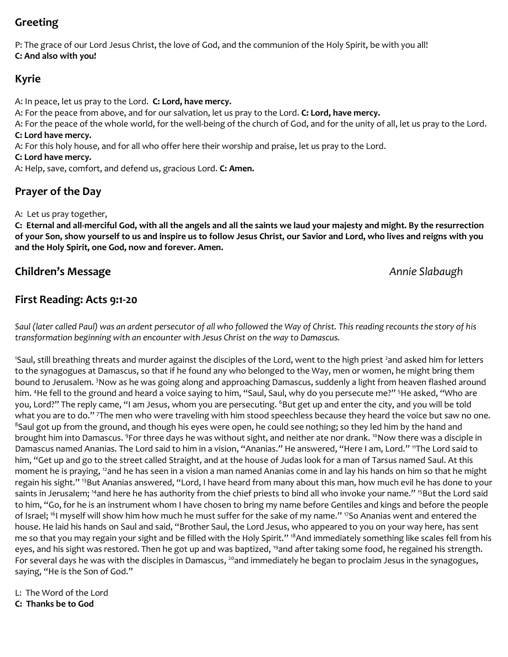## **Greeting**

P: The grace of our Lord Jesus Christ, the love of God, and the communion of the Holy Spirit, be with you all! **C: And also with you!**

## **Kyrie**

A: In peace, let us pray to the Lord. **C: Lord, have mercy.**

A: For the peace from above, and for our salvation, let us pray to the Lord. **C: Lord, have mercy.**

A: For the peace of the whole world, for the well-being of the church of God, and for the unity of all, let us pray to the Lord. **C: Lord have mercy.**

A: For this holy house, and for all who offer here their worship and praise, let us pray to the Lord.

### **C: Lord have mercy.**

A: Help, save, comfort, and defend us, gracious Lord. **C: Amen.**

## **Prayer of the Day**

A: Let us pray together,

**C: Eternal and all-merciful God, with all the angels and all the saints we laud your majesty and might. By the resurrection of your Son, show yourself to us and inspire us to follow Jesus Christ, our Savior and Lord, who lives and reigns with you and the Holy Spirit, one God, now and forever. Amen.**

## **Children's Message** *Annie Slabaugh Annie Slabaugh Annie Slabaugh*

## **First Reading: Acts 9:1-20**

*Saul (later called Paul) was an ardent persecutor of all who followed the Way of Christ. This reading recounts the story of his transformation beginning with an encounter with Jesus Christ on the way to Damascus.*

<sup>1</sup>Saul, still breathing threats and murder against the disciples of the Lord, went to the high priest <sup>2</sup>and asked him for letters to the synagogues at Damascus, so that if he found any who belonged to the Way, men or women, he might bring them bound to Jerusalem. <sup>3</sup>Now as he was going along and approaching Damascus, suddenly a light from heaven flashed around him. <sup>4</sup>He fell to the ground and heard a voice saying to him, "Saul, Saul, why do you persecute me?"<sup>5</sup>He asked, "Who are you, Lord?" The reply came, "I am Jesus, whom you are persecuting. <sup>6</sup>But get up and enter the city, and you will be told what you are to do." The men who were traveling with him stood speechless because they heard the voice but saw no one. <sup>8</sup>Saul got up from the ground, and though his eyes were open, he could see nothing; so they led him by the hand and brought him into Damascus. <sup>9</sup>For three days he was without sight, and neither ate nor drank. <sup>10</sup>Now there was a disciple in Damascus named Ananias. The Lord said to him in a vision, "Ananias." He answered, "Here I am, Lord." "The Lord said to him, "Get up and go to the street called Straight, and at the house of Judas look for a man of Tarsus named Saul. At this moment he is praying, <sup>12</sup>and he has seen in a vision a man named Ananias come in and lay his hands on him so that he might regain his sight."<sup>3</sup>But Ananias answered, "Lord, I have heard from many about this man, how much evil he has done to your saints in Jerusalem; <sup>14</sup>and here he has authority from the chief priests to bind all who invoke your name." <sup>15</sup>But the Lord said to him, "Go, for he is an instrument whom I have chosen to bring my name before Gentiles and kings and before the people of Israel; <sup>16</sup>I myself will show him how much he must suffer for the sake of my name." <sup>17</sup>So Ananias went and entered the house. He laid his hands on Saul and said, "Brother Saul, the Lord Jesus, who appeared to you on your way here, has sent me so that you may regain your sight and be filled with the Holy Spirit." <sup>18</sup>And immediately something like scales fell from his eyes, and his sight was restored. Then he got up and was baptized, <sup>19</sup>and after taking some food, he regained his strength. For several days he was with the disciples in Damascus, <sup>20</sup>and immediately he began to proclaim Jesus in the synagogues, saying, "He is the Son of God."

L: The Word of the Lord

**C: Thanks be to God**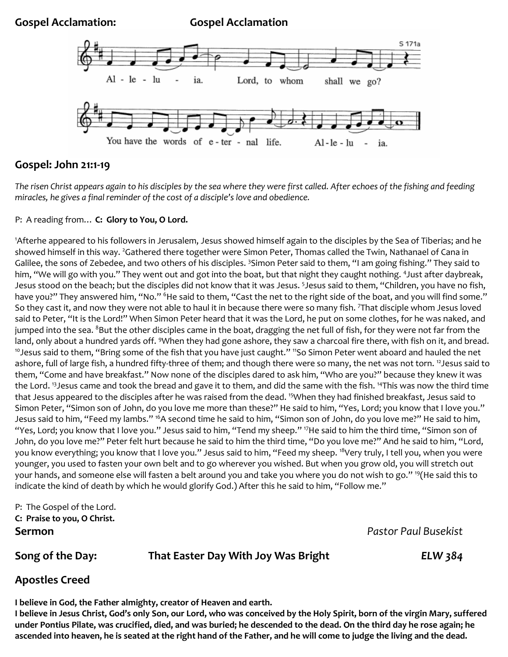

## **Gospel: John 21:1-19**

*The risen Christ appears again to his disciples by the sea where they were first called. After echoes of the fishing and feeding miracles, he gives a final reminder of the cost of a disciple's love and obedience.*

P: A reading from… **C: Glory to You, O Lord.**

<sup>1</sup>Afterhe appeared to his followers in Jerusalem, Jesus showed himself again to the disciples by the Sea of Tiberias; and he showed himself in this way. <sup>2</sup>Gathered there together were Simon Peter, Thomas called the Twin, Nathanael of Cana in Galilee, the sons of Zebedee, and two others of his disciples. <sup>3</sup>Simon Peter said to them, "I am going fishing." They said to him, "We will go with you." They went out and got into the boat, but that night they caught nothing. <sup>4</sup> Just after daybreak, Jesus stood on the beach; but the disciples did not know that it was Jesus. <sup>5</sup> Jesus said to them, "Children, you have no fish, have you?" They answered him, "No." <sup>6</sup>He said to them, "Cast the net to the right side of the boat, and you will find some." So they cast it, and now they were not able to haul it in because there were so many fish. 7That disciple whom Jesus loved said to Peter, "It is the Lord!" When Simon Peter heard that it was the Lord, he put on some clothes, for he was naked, and jumped into the sea. <sup>8</sup>But the other disciples came in the boat, dragging the net full of fish, for they were not far from the land, only about a hundred yards off. <sup>9</sup>When they had gone ashore, they saw a charcoal fire there, with fish on it, and bread. <sup>10</sup> Jesus said to them, "Bring some of the fish that you have just caught." <sup>11</sup>So Simon Peter went aboard and hauled the net ashore, full of large fish, a hundred fifty-three of them; and though there were so many, the net was not torn. <sup>12</sup> Jesus said to them, "Come and have breakfast." Now none of the disciples dared to ask him, "Who are you?" because they knew it was the Lord. <sup>13</sup>Jesus came and took the bread and gave it to them, and did the same with the fish. <sup>14</sup>This was now the third time that Jesus appeared to the disciples after he was raised from the dead. <sup>15</sup>When they had finished breakfast, Jesus said to Simon Peter, "Simon son of John, do you love me more than these?" He said to him, "Yes, Lord; you know that I love you." Jesus said to him, "Feed my lambs." <sup>16</sup>A second time he said to him, "Simon son of John, do you love me?" He said to him, "Yes, Lord; you know that I love you." Jesus said to him, "Tend my sheep." <sup>17</sup>He said to him the third time, "Simon son of John, do you love me?" Peter felt hurt because he said to him the third time, "Do you love me?" And he said to him, "Lord, you know everything; you know that I love you." Jesus said to him, "Feed my sheep. <sup>18</sup>Very truly, I tell you, when you were younger, you used to fasten your own belt and to go wherever you wished. But when you grow old, you will stretch out your hands, and someone else will fasten a belt around you and take you where you do not wish to go." <sup>19</sup>(He said this to indicate the kind of death by which he would glorify God.) After this he said to him, "Follow me."

P: The Gospel of the Lord. **C: Praise to you, O Christ. Sermon** *Pastor Paul Busekist*

**Song of the Day: That Easter Day With Joy Was Bright** *ELW 384*

## **Apostles Creed**

**I believe in God, the Father almighty, creator of Heaven and earth.** 

**I believe in Jesus Christ, God's only Son, our Lord, who was conceived by the Holy Spirit, born of the virgin Mary, suffered under Pontius Pilate, was crucified, died, and was buried; he descended to the dead. On the third day he rose again; he ascended into heaven, he is seated at the right hand of the Father, and he will come to judge the living and the dead.**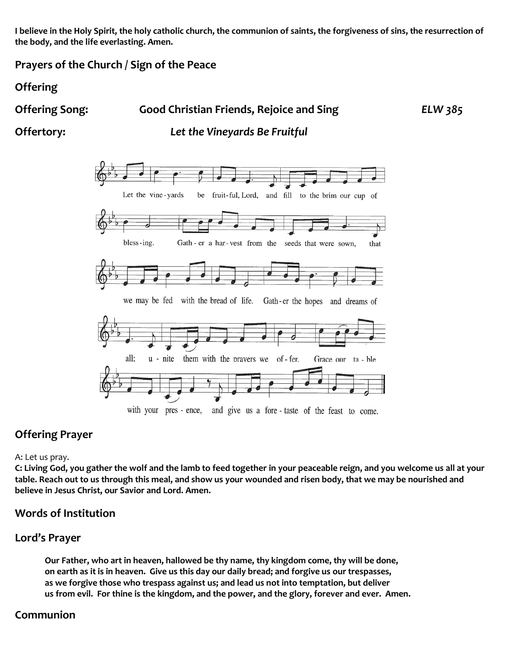**I believe in the Holy Spirit, the holy catholic church, the communion of saints, the forgiveness of sins, the resurrection of the body, and the life everlasting. Amen.**

## **Prayers of the Church / Sign of the Peace**

**Offering**

#### **Offering Song: Good Christian Friends, Rejoice and Sing** *ELW 385*

### **Offertory:** *Let the Vineyards Be Fruitful*



## **Offering Prayer**

#### A: Let us pray.

**C: Living God, you gather the wolf and the lamb to feed together in your peaceable reign, and you welcome us all at your table. Reach out to us through this meal, and show us your wounded and risen body, that we may be nourished and believe in Jesus Christ, our Savior and Lord. Amen.**

### **Words of Institution**

#### **Lord's Prayer**

**Our Father, who art in heaven, hallowed be thy name, thy kingdom come, thy will be done, on earth as it is in heaven. Give us this day our daily bread; and forgive us our trespasses, as we forgive those who trespass against us; and lead us not into temptation, but deliver us from evil. For thine is the kingdom, and the power, and the glory, forever and ever. Amen.**

## **Communion**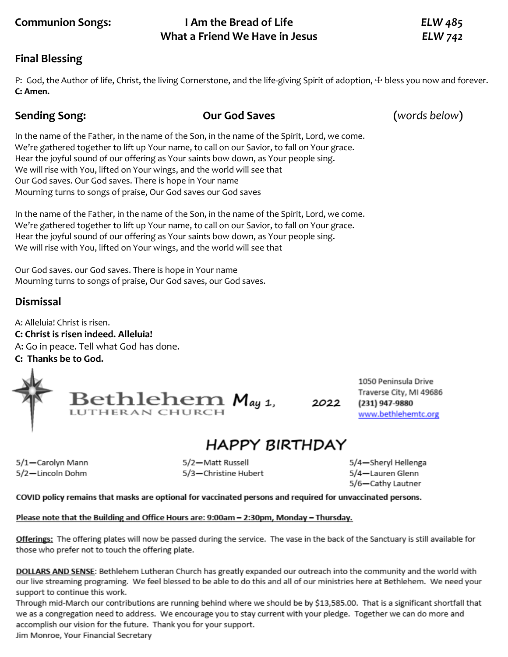**Communion Songs: I Am the Bread of Life** *ELW 485* **What a Friend We Have in Jesus** *ELW 742*

## **Final Blessing**

P: God, the Author of life, Christ, the living Cornerstone, and the life-giving Spirit of adoption,  $\pm$  bless you now and forever. **C: Amen.**

## **Sending Song: Our God Saves (***words below***)**

In the name of the Father, in the name of the Son, in the name of the Spirit, Lord, we come. We're gathered together to lift up Your name, to call on our Savior, to fall on Your grace. Hear the joyful sound of our offering as Your saints bow down, as Your people sing. We will rise with You, lifted on Your wings, and the world will see that Our God saves. Our God saves. There is hope in Your name Mourning turns to songs of praise, Our God saves our God saves

In the name of the Father, in the name of the Son, in the name of the Spirit, Lord, we come. We're gathered together to lift up Your name, to call on our Savior, to fall on Your grace. Hear the joyful sound of our offering as Your saints bow down, as Your people sing. We will rise with You, lifted on Your wings, and the world will see that

Our God saves. our God saves. There is hope in Your name Mourning turns to songs of praise, Our God saves, our God saves.

## **Dismissal**

A: Alleluia! Christ is risen. **C: Christ is risen indeed. Alleluia!** A: Go in peace. Tell what God has done. **C: Thanks be to God.**



2022

1050 Peninsula Drive Traverse City, MI 49686 (231) 947-9880 www.bethlehemtc.org

# **HAPPY BIRTHDAY**

5/1-Carolyn Mann 5/2-Lincoln Dohm

5/2-Matt Russell 5/3-Christine Hubert 5/4-Sheryl Hellenga 5/4-Lauren Glenn 5/6-Cathy Lautner

COVID policy remains that masks are optional for vaccinated persons and required for unvaccinated persons.

#### Please note that the Building and Office Hours are: 9:00am - 2:30pm, Monday - Thursday.

Offerings: The offering plates will now be passed during the service. The vase in the back of the Sanctuary is still available for those who prefer not to touch the offering plate.

DOLLARS AND SENSE: Bethlehem Lutheran Church has greatly expanded our outreach into the community and the world with our live streaming programing. We feel blessed to be able to do this and all of our ministries here at Bethlehem. We need your support to continue this work.

Through mid-March our contributions are running behind where we should be by \$13,585.00. That is a significant shortfall that we as a congregation need to address. We encourage you to stay current with your pledge. Together we can do more and accomplish our vision for the future. Thank you for your support. Jim Monroe, Your Financial Secretary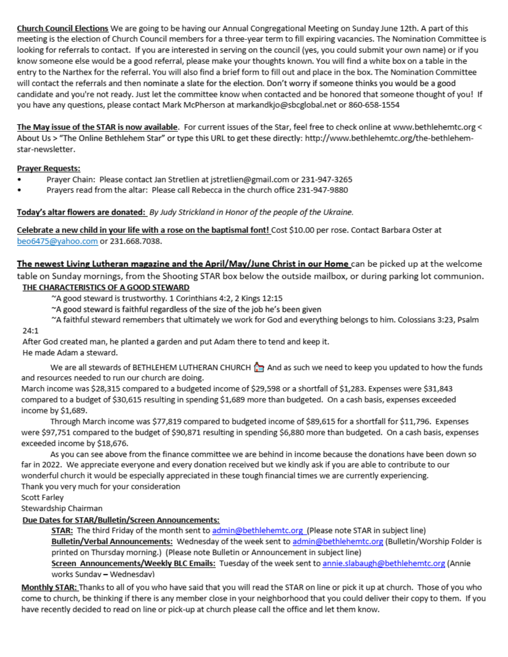Church Council Elections We are going to be having our Annual Congregational Meeting on Sunday June 12th. A part of this meeting is the election of Church Council members for a three-year term to fill expiring vacancies. The Nomination Committee is looking for referrals to contact. If you are interested in serving on the council (yes, you could submit your own name) or if you know someone else would be a good referral, please make your thoughts known. You will find a white box on a table in the entry to the Narthex for the referral. You will also find a brief form to fill out and place in the box. The Nomination Committee will contact the referrals and then nominate a slate for the election. Don't worry if someone thinks you would be a good candidate and you're not ready. Just let the committee know when contacted and be honored that someone thought of you! If you have any questions, please contact Mark McPherson at markandkjo@sbcglobal.net or 860-658-1554

The May issue of the STAR is now available. For current issues of the Star, feel free to check online at www.bethlehemtc.org < About Us > "The Online Bethlehem Star" or type this URL to get these directly: http://www.bethlehemtc.org/the-bethlehemstar-newsletter.

#### **Prayer Requests:**

- Prayer Chain: Please contact Jan Stretlien at jstretlien@gmail.com or 231-947-3265
- Prayers read from the altar: Please call Rebecca in the church office 231-947-9880

#### Today's altar flowers are donated: By Judy Strickland in Honor of the people of the Ukraine.

Celebrate a new child in your life with a rose on the baptismal font! Cost \$10.00 per rose. Contact Barbara Oster at beo6475@yahoo.com or 231.668.7038.

The newest Living Lutheran magazine and the April/May/June Christ in our Home can be picked up at the welcome table on Sunday mornings, from the Shooting STAR box below the outside mailbox, or during parking lot communion. THE CHARACTERISTICS OF A GOOD STEWARD

"A good steward is trustworthy. 1 Corinthians 4:2, 2 Kings 12:15

~A good steward is faithful regardless of the size of the job he's been given

"A faithful steward remembers that ultimately we work for God and everything belongs to him. Colossians 3:23, Psalm

After God created man, he planted a garden and put Adam there to tend and keep it.

He made Adam a steward.

24:1

We are all stewards of BETHLEHEM LUTHERAN CHURCH  $\bigcap_{n=1}^{\infty}$  And as such we need to keep you updated to how the funds and resources needed to run our church are doing.

March income was \$28,315 compared to a budgeted income of \$29,598 or a shortfall of \$1,283. Expenses were \$31,843 compared to a budget of \$30,615 resulting in spending \$1,689 more than budgeted. On a cash basis, expenses exceeded income by \$1,689.

Through March income was \$77,819 compared to budgeted income of \$89,615 for a shortfall for \$11,796. Expenses were \$97,751 compared to the budget of \$90,871 resulting in spending \$6,880 more than budgeted. On a cash basis, expenses exceeded income by \$18,676.

As you can see above from the finance committee we are behind in income because the donations have been down so far in 2022. We appreciate everyone and every donation received but we kindly ask if you are able to contribute to our wonderful church it would be especially appreciated in these tough financial times we are currently experiencing. Thank you very much for your consideration

Scott Farley

Stewardship Chairman

#### Due Dates for STAR/Bulletin/Screen Announcements:

STAR: The third Friday of the month sent to admin@bethlehemtc.org (Please note STAR in subject line) Bulletin/Verbal Announcements: Wednesday of the week sent to admin@bethlehemtc.org (Bulletin/Worship Folder is printed on Thursday morning.) (Please note Bulletin or Announcement in subject line) Screen Announcements/Weekly BLC Emails: Tuesday of the week sent to annie.slabaugh@bethlehemtc.org (Annie

works Sunday - Wednesday)

Monthly STAR: Thanks to all of you who have said that you will read the STAR on line or pick it up at church. Those of you who come to church, be thinking if there is any member close in your neighborhood that you could deliver their copy to them. If you have recently decided to read on line or pick-up at church please call the office and let them know.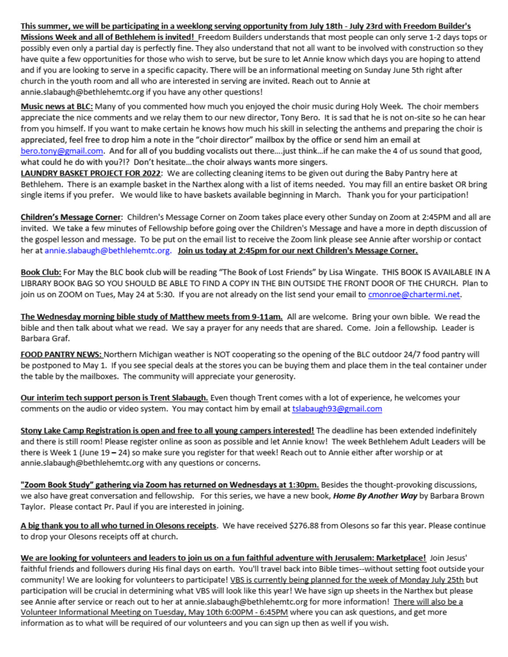#### This summer, we will be participating in a weeklong serving opportunity from July 18th - July 23rd with Freedom Builder's

Missions Week and all of Bethlehem is invited! Freedom Builders understands that most people can only serve 1-2 days tops or possibly even only a partial day is perfectly fine. They also understand that not all want to be involved with construction so they have quite a few opportunities for those who wish to serve, but be sure to let Annie know which days you are hoping to attend and if you are looking to serve in a specific capacity. There will be an informational meeting on Sunday June 5th right after church in the youth room and all who are interested in serving are invited. Reach out to Annie at annie.slabaugh@bethlehemtc.org if you have any other questions!

Music news at BLC: Many of you commented how much you enjoyed the choir music during Holy Week. The choir members appreciate the nice comments and we relay them to our new director, Tony Bero. It is sad that he is not on-site so he can hear from you himself. If you want to make certain he knows how much his skill in selecting the anthems and preparing the choir is appreciated, feel free to drop him a note in the "choir director" mailbox by the office or send him an email at bero.tony@gmail.com. And for all of you budding vocalists out there....just think...if he can make the 4 of us sound that good, what could he do with you?!? Don't hesitate...the choir always wants more singers.

LAUNDRY BASKET PROJECT FOR 2022: We are collecting cleaning items to be given out during the Baby Pantry here at Bethlehem. There is an example basket in the Narthex along with a list of items needed. You may fill an entire basket OR bring single items if you prefer. We would like to have baskets available beginning in March. Thank you for your participation!

Children's Message Corner: Children's Message Corner on Zoom takes place every other Sunday on Zoom at 2:45PM and all are invited. We take a few minutes of Fellowship before going over the Children's Message and have a more in depth discussion of the gospel lesson and message. To be put on the email list to receive the Zoom link please see Annie after worship or contact her at annie.slabaugh@bethlehemtc.org. Join us today at 2:45pm for our next Children's Message Corner.

Book Club: For May the BLC book club will be reading "The Book of Lost Friends" by Lisa Wingate. THIS BOOK IS AVAILABLE IN A LIBRARY BOOK BAG SO YOU SHOULD BE ABLE TO FIND A COPY IN THE BIN OUTSIDE THE FRONT DOOR OF THE CHURCH. Plan to join us on ZOOM on Tues, May 24 at 5:30. If you are not already on the list send your email to cmonroe@chartermi.net.

The Wednesday morning bible study of Matthew meets from 9-11am. All are welcome. Bring your own bible. We read the bible and then talk about what we read. We say a prayer for any needs that are shared. Come. Join a fellowship. Leader is Barbara Graf.

FOOD PANTRY NEWS: Northern Michigan weather is NOT cooperating so the opening of the BLC outdoor 24/7 food pantry will be postponed to May 1. If you see special deals at the stores you can be buying them and place them in the teal container under the table by the mailboxes. The community will appreciate your generosity.

Our interim tech support person is Trent Slabaugh. Even though Trent comes with a lot of experience, he welcomes your comments on the audio or video system. You may contact him by email at tslabaugh93@gmail.com

Stony Lake Camp Registration is open and free to all young campers interested! The deadline has been extended indefinitely and there is still room! Please register online as soon as possible and let Annie know! The week Bethlehem Adult Leaders will be there is Week 1 (June 19 - 24) so make sure you register for that week! Reach out to Annie either after worship or at annie.slabaugh@bethlehemtc.org with any questions or concerns.

"Zoom Book Study" gathering via Zoom has returned on Wednesdays at 1:30pm. Besides the thought-provoking discussions, we also have great conversation and fellowship. For this series, we have a new book, Home By Another Way by Barbara Brown Taylor. Please contact Pr. Paul if you are interested in joining.

A big thank you to all who turned in Olesons receipts. We have received \$276.88 from Olesons so far this year. Please continue to drop your Olesons receipts off at church.

We are looking for volunteers and leaders to join us on a fun faithful adventure with Jerusalem: Marketplace! Join Jesus' faithful friends and followers during His final days on earth. You'll travel back into Bible times--without setting foot outside your community! We are looking for volunteers to participate! VBS is currently being planned for the week of Monday July 25th but participation will be crucial in determining what VBS will look like this year! We have sign up sheets in the Narthex but please see Annie after service or reach out to her at annie.slabaugh@bethlehemtc.org for more information! There will also be a Volunteer Informational Meeting on Tuesday, May 10th 6:00PM - 6:45PM where you can ask questions, and get more information as to what will be required of our volunteers and you can sign up then as well if you wish.